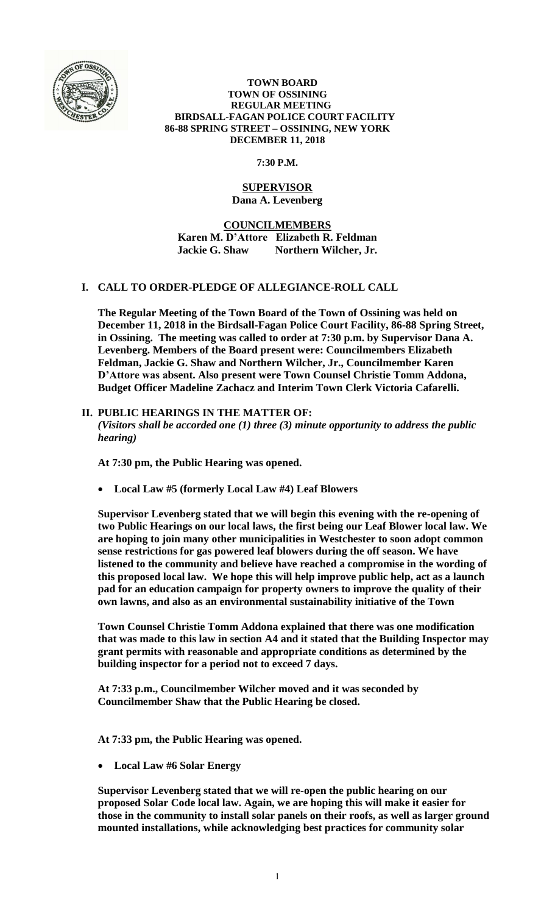

#### **TOWN BOARD TOWN OF OSSINING REGULAR MEETING BIRDSALL-FAGAN POLICE COURT FACILITY 86-88 SPRING STREET – OSSINING, NEW YORK DECEMBER 11, 2018**

# **7:30 P.M.**

### **SUPERVISOR Dana A. Levenberg**

**COUNCILMEMBERS Karen M. D'Attore Elizabeth R. Feldman Jackie G. Shaw Northern Wilcher, Jr.**

# **I. CALL TO ORDER-PLEDGE OF ALLEGIANCE-ROLL CALL**

**The Regular Meeting of the Town Board of the Town of Ossining was held on December 11, 2018 in the Birdsall-Fagan Police Court Facility, 86-88 Spring Street, in Ossining. The meeting was called to order at 7:30 p.m. by Supervisor Dana A. Levenberg. Members of the Board present were: Councilmembers Elizabeth Feldman, Jackie G. Shaw and Northern Wilcher, Jr., Councilmember Karen D'Attore was absent. Also present were Town Counsel Christie Tomm Addona, Budget Officer Madeline Zachacz and Interim Town Clerk Victoria Cafarelli.** 

# **II. PUBLIC HEARINGS IN THE MATTER OF:**

*(Visitors shall be accorded one (1) three (3) minute opportunity to address the public hearing)*

**At 7:30 pm, the Public Hearing was opened.** 

**Local Law #5 (formerly Local Law #4) Leaf Blowers**

**Supervisor Levenberg stated that we will begin this evening with the re-opening of two Public Hearings on our local laws, the first being our Leaf Blower local law. We are hoping to join many other municipalities in Westchester to soon adopt common sense restrictions for gas powered leaf blowers during the off season. We have listened to the community and believe have reached a compromise in the wording of this proposed local law. We hope this will help improve public help, act as a launch pad for an education campaign for property owners to improve the quality of their own lawns, and also as an environmental sustainability initiative of the Town**

**Town Counsel Christie Tomm Addona explained that there was one modification that was made to this law in section A4 and it stated that the Building Inspector may grant permits with reasonable and appropriate conditions as determined by the building inspector for a period not to exceed 7 days.**

**At 7:33 p.m., Councilmember Wilcher moved and it was seconded by Councilmember Shaw that the Public Hearing be closed.**

**At 7:33 pm, the Public Hearing was opened.** 

**Local Law #6 Solar Energy**

**Supervisor Levenberg stated that we will re-open the public hearing on our proposed Solar Code local law. Again, we are hoping this will make it easier for those in the community to install solar panels on their roofs, as well as larger ground mounted installations, while acknowledging best practices for community solar**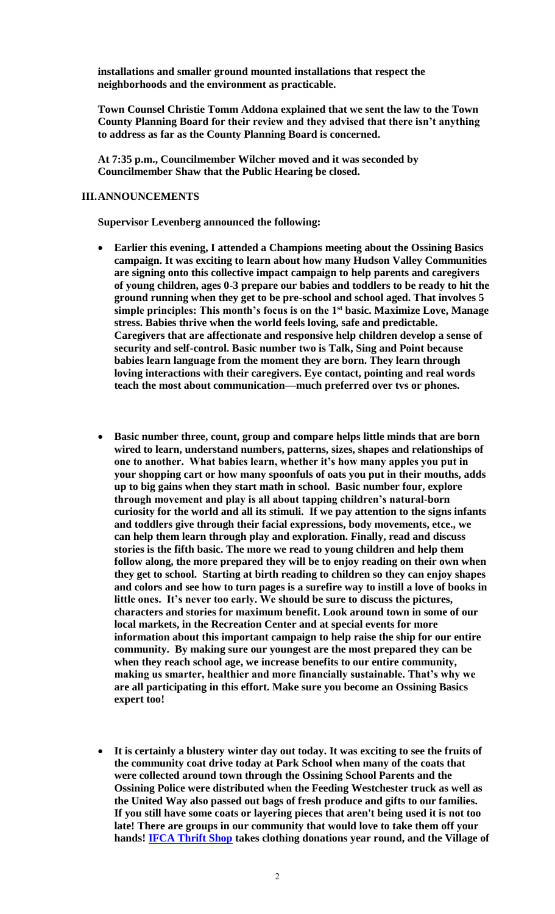**installations and smaller ground mounted installations that respect the neighborhoods and the environment as practicable.** 

**Town Counsel Christie Tomm Addona explained that we sent the law to the Town County Planning Board for their review and they advised that there isn't anything to address as far as the County Planning Board is concerned.**

**At 7:35 p.m., Councilmember Wilcher moved and it was seconded by Councilmember Shaw that the Public Hearing be closed.**

#### **III.ANNOUNCEMENTS**

**Supervisor Levenberg announced the following:**

- **Earlier this evening, I attended a Champions meeting about the Ossining Basics campaign. It was exciting to learn about how many Hudson Valley Communities are signing onto this collective impact campaign to help parents and caregivers of young children, ages 0-3 prepare our babies and toddlers to be ready to hit the ground running when they get to be pre-school and school aged. That involves 5 simple principles: This month's focus is on the 1st basic. Maximize Love, Manage stress. Babies thrive when the world feels loving, safe and predictable. Caregivers that are affectionate and responsive help children develop a sense of security and self-control. Basic number two is Talk, Sing and Point because babies learn language from the moment they are born. They learn through loving interactions with their caregivers. Eye contact, pointing and real words teach the most about communication—much preferred over tvs or phones.**
- **Basic number three, count, group and compare helps little minds that are born wired to learn, understand numbers, patterns, sizes, shapes and relationships of one to another. What babies learn, whether it's how many apples you put in your shopping cart or how many spoonfuls of oats you put in their mouths, adds up to big gains when they start math in school. Basic number four, explore through movement and play is all about tapping children's natural-born curiosity for the world and all its stimuli. If we pay attention to the signs infants and toddlers give through their facial expressions, body movements, etce., we can help them learn through play and exploration. Finally, read and discuss stories is the fifth basic. The more we read to young children and help them follow along, the more prepared they will be to enjoy reading on their own when they get to school. Starting at birth reading to children so they can enjoy shapes and colors and see how to turn pages is a surefire way to instill a love of books in little ones. It's never too early. We should be sure to discuss the pictures, characters and stories for maximum benefit. Look around town in some of our local markets, in the Recreation Center and at special events for more information about this important campaign to help raise the ship for our entire community. By making sure our youngest are the most prepared they can be when they reach school age, we increase benefits to our entire community, making us smarter, healthier and more financially sustainable. That's why we are all participating in this effort. Make sure you become an Ossining Basics expert too!**
- **It is certainly a blustery winter day out today. It was exciting to see the fruits of the community coat drive today at Park School when many of the coats that were collected around town through the Ossining School Parents and the Ossining Police were distributed when the Feeding Westchester truck as well as the United Way also passed out bags of fresh produce and gifts to our families. If you still have some coats or layering pieces that aren't being used it is not too late! There are groups in our community that would love to take them off your hands! [IFCA Thrift Shop](http://www.ifcany.org/thrift-shop/) takes clothing donations year round, and the Village of**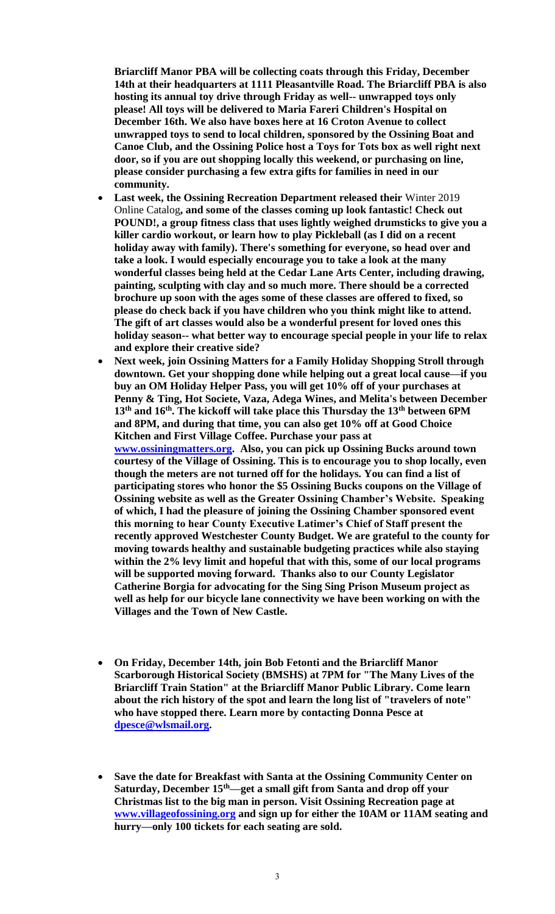**Briarcliff Manor PBA will be collecting coats through this Friday, December 14th at their headquarters at 1111 Pleasantville Road. The Briarcliff PBA is also hosting its annual toy drive through Friday as well-- unwrapped toys only please! All toys will be delivered to Maria Fareri Children's Hospital on December 16th. We also have boxes here at 16 Croton Avenue to collect unwrapped toys to send to local children, sponsored by the Ossining Boat and Canoe Club, and the Ossining Police host a Toys for Tots box as well right next door, so if you are out shopping locally this weekend, or purchasing on line, please consider purchasing a few extra gifts for families in need in our community.**

- **Last week, the Ossining Recreation Department released their** Winter 2019 Online Catalog**, and some of the classes coming up look fantastic! Check out POUND!, a group fitness class that uses lightly weighed drumsticks to give you a killer cardio workout, or learn how to play Pickleball (as I did on a recent holiday away with family). There's something for everyone, so head over and take a look. I would especially encourage you to take a look at the many wonderful classes being held at the Cedar Lane Arts Center, including drawing, painting, sculpting with clay and so much more. There should be a corrected brochure up soon with the ages some of these classes are offered to fixed, so please do check back if you have children who you think might like to attend. The gift of art classes would also be a wonderful present for loved ones this holiday season-- what better way to encourage special people in your life to relax and explore their creative side?**
- **Next week, join Ossining Matters for a Family Holiday Shopping Stroll through downtown. Get your shopping done while helping out a great local cause—if you buy an OM Holiday Helper Pass, you will get 10% off of your purchases at Penny & Ting, Hot Societe, Vaza, Adega Wines, and Melita's between December 13th and 16th. The kickoff will take place this Thursday the 13th between 6PM and 8PM, and during that time, you can also get 10% off at Good Choice Kitchen and First Village Coffee. Purchase your pass at [www.ossiningmatters.org.](http://www.ossiningmatters.org/) Also, you can pick up Ossining Bucks around town courtesy of the Village of Ossining. This is to encourage you to shop locally, even though the meters are not turned off for the holidays. You can find a list of participating stores who honor the \$5 Ossining Bucks coupons on the Village of Ossining website as well as the Greater Ossining Chamber's Website. Speaking of which, I had the pleasure of joining the Ossining Chamber sponsored event this morning to hear County Executive Latimer's Chief of Staff present the recently approved Westchester County Budget. We are grateful to the county for moving towards healthy and sustainable budgeting practices while also staying within the 2% levy limit and hopeful that with this, some of our local programs will be supported moving forward. Thanks also to our County Legislator Catherine Borgia for advocating for the Sing Sing Prison Museum project as well as help for our bicycle lane connectivity we have been working on with the Villages and the Town of New Castle.**
- **On Friday, December 14th, join Bob Fetonti and the Briarcliff Manor Scarborough Historical Society (BMSHS) at 7PM for "The Many Lives of the Briarcliff Train Station" at the Briarcliff Manor Public Library. Come learn about the rich history of the spot and learn the long list of "travelers of note" who have stopped there. Learn more by contacting Donna Pesce at [dpesce@wlsmail.org.](mailto:dpesce@wlsmail.org)**
- **Save the date for Breakfast with Santa at the Ossining Community Center on Saturday, December 15th—get a small gift from Santa and drop off your Christmas list to the big man in person. Visit Ossining Recreation page at [www.villageofossining.org](http://www.villageofossining.org/) and sign up for either the 10AM or 11AM seating and hurry—only 100 tickets for each seating are sold.**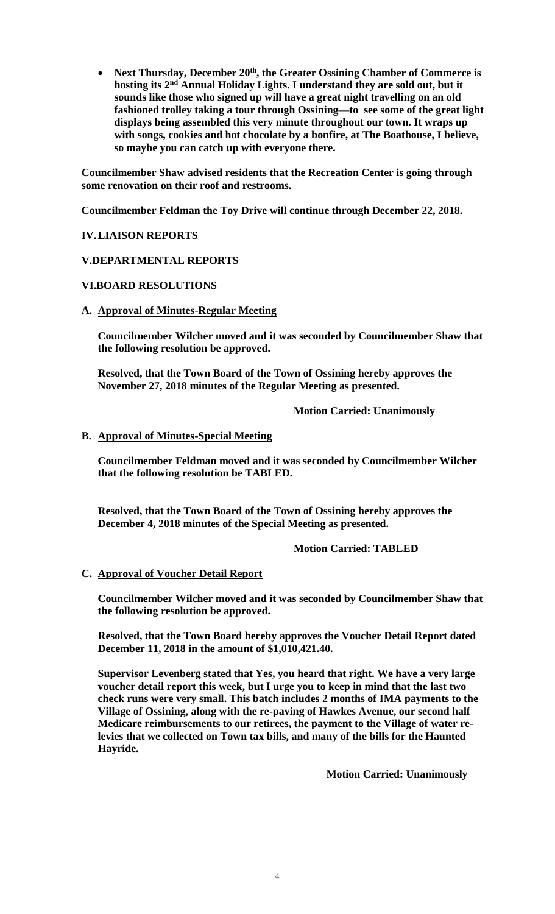**Next Thursday, December 20th, the Greater Ossining Chamber of Commerce is hosting its 2nd Annual Holiday Lights. I understand they are sold out, but it sounds like those who signed up will have a great night travelling on an old fashioned trolley taking a tour through Ossining—to see some of the great light displays being assembled this very minute throughout our town. It wraps up with songs, cookies and hot chocolate by a bonfire, at The Boathouse, I believe, so maybe you can catch up with everyone there.**

**Councilmember Shaw advised residents that the Recreation Center is going through some renovation on their roof and restrooms.**

**Councilmember Feldman the Toy Drive will continue through December 22, 2018.**

## **IV.LIAISON REPORTS**

## **V.DEPARTMENTAL REPORTS**

### **VI.BOARD RESOLUTIONS**

#### **A. Approval of Minutes-Regular Meeting**

**Councilmember Wilcher moved and it was seconded by Councilmember Shaw that the following resolution be approved.**

**Resolved, that the Town Board of the Town of Ossining hereby approves the November 27, 2018 minutes of the Regular Meeting as presented.**

### **Motion Carried: Unanimously**

### **B. Approval of Minutes-Special Meeting**

**Councilmember Feldman moved and it was seconded by Councilmember Wilcher that the following resolution be TABLED.**

**Resolved, that the Town Board of the Town of Ossining hereby approves the December 4, 2018 minutes of the Special Meeting as presented.**

#### **Motion Carried: TABLED**

#### **C. Approval of Voucher Detail Report**

**Councilmember Wilcher moved and it was seconded by Councilmember Shaw that the following resolution be approved.**

**Resolved, that the Town Board hereby approves the Voucher Detail Report dated December 11, 2018 in the amount of \$1,010,421.40.**

**Supervisor Levenberg stated that Yes, you heard that right. We have a very large voucher detail report this week, but I urge you to keep in mind that the last two check runs were very small. This batch includes 2 months of IMA payments to the Village of Ossining, along with the re-paving of Hawkes Avenue, our second half Medicare reimbursements to our retirees, the payment to the Village of water relevies that we collected on Town tax bills, and many of the bills for the Haunted Hayride.**

**Motion Carried: Unanimously**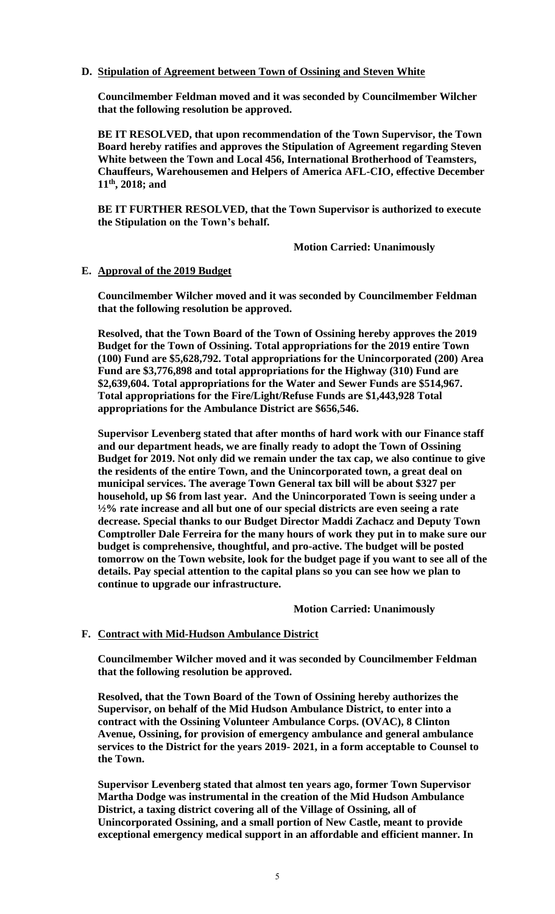## **D. Stipulation of Agreement between Town of Ossining and Steven White**

**Councilmember Feldman moved and it was seconded by Councilmember Wilcher that the following resolution be approved.**

**BE IT RESOLVED, that upon recommendation of the Town Supervisor, the Town Board hereby ratifies and approves the Stipulation of Agreement regarding Steven White between the Town and Local 456, International Brotherhood of Teamsters, Chauffeurs, Warehousemen and Helpers of America AFL-CIO, effective December 11th, 2018; and**

**BE IT FURTHER RESOLVED, that the Town Supervisor is authorized to execute the Stipulation on the Town's behalf.**

**Motion Carried: Unanimously**

## **E. Approval of the 2019 Budget**

**Councilmember Wilcher moved and it was seconded by Councilmember Feldman that the following resolution be approved.**

**Resolved, that the Town Board of the Town of Ossining hereby approves the 2019 Budget for the Town of Ossining. Total appropriations for the 2019 entire Town (100) Fund are \$5,628,792. Total appropriations for the Unincorporated (200) Area Fund are \$3,776,898 and total appropriations for the Highway (310) Fund are \$2,639,604. Total appropriations for the Water and Sewer Funds are \$514,967. Total appropriations for the Fire/Light/Refuse Funds are \$1,443,928 Total appropriations for the Ambulance District are \$656,546.**

**Supervisor Levenberg stated that after months of hard work with our Finance staff and our department heads, we are finally ready to adopt the Town of Ossining Budget for 2019. Not only did we remain under the tax cap, we also continue to give the residents of the entire Town, and the Unincorporated town, a great deal on municipal services. The average Town General tax bill will be about \$327 per household, up \$6 from last year. And the Unincorporated Town is seeing under a ½% rate increase and all but one of our special districts are even seeing a rate decrease. Special thanks to our Budget Director Maddi Zachacz and Deputy Town Comptroller Dale Ferreira for the many hours of work they put in to make sure our budget is comprehensive, thoughtful, and pro-active. The budget will be posted tomorrow on the Town website, look for the budget page if you want to see all of the details. Pay special attention to the capital plans so you can see how we plan to continue to upgrade our infrastructure.**

**Motion Carried: Unanimously**

## **F. Contract with Mid-Hudson Ambulance District**

**Councilmember Wilcher moved and it was seconded by Councilmember Feldman that the following resolution be approved.**

**Resolved, that the Town Board of the Town of Ossining hereby authorizes the Supervisor, on behalf of the Mid Hudson Ambulance District, to enter into a contract with the Ossining Volunteer Ambulance Corps. (OVAC), 8 Clinton Avenue, Ossining, for provision of emergency ambulance and general ambulance services to the District for the years 2019- 2021, in a form acceptable to Counsel to the Town.**

**Supervisor Levenberg stated that almost ten years ago, former Town Supervisor Martha Dodge was instrumental in the creation of the Mid Hudson Ambulance District, a taxing district covering all of the Village of Ossining, all of Unincorporated Ossining, and a small portion of New Castle, meant to provide exceptional emergency medical support in an affordable and efficient manner. In**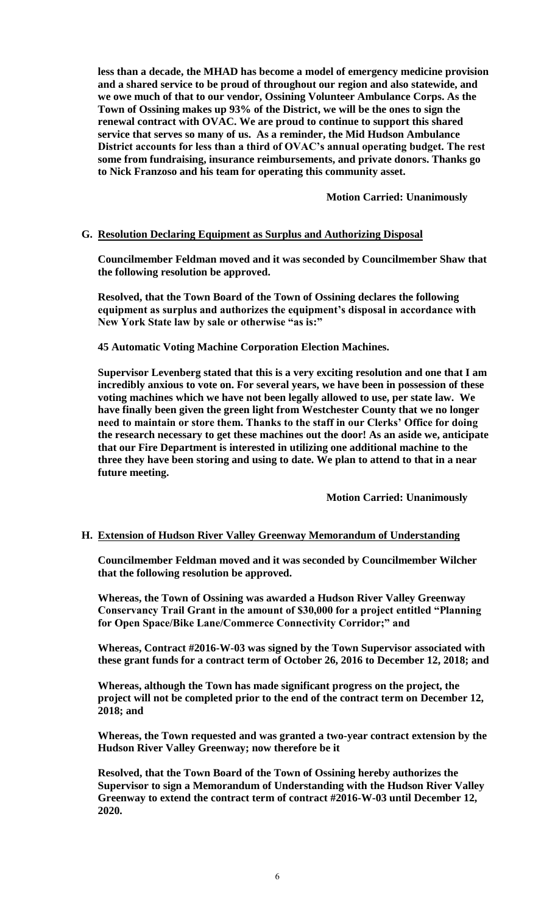**less than a decade, the MHAD has become a model of emergency medicine provision and a shared service to be proud of throughout our region and also statewide, and we owe much of that to our vendor, Ossining Volunteer Ambulance Corps. As the Town of Ossining makes up 93% of the District, we will be the ones to sign the renewal contract with OVAC. We are proud to continue to support this shared service that serves so many of us. As a reminder, the Mid Hudson Ambulance District accounts for less than a third of OVAC's annual operating budget. The rest some from fundraising, insurance reimbursements, and private donors. Thanks go to Nick Franzoso and his team for operating this community asset.** 

**Motion Carried: Unanimously**

### **G. Resolution Declaring Equipment as Surplus and Authorizing Disposal**

**Councilmember Feldman moved and it was seconded by Councilmember Shaw that the following resolution be approved.**

**Resolved, that the Town Board of the Town of Ossining declares the following equipment as surplus and authorizes the equipment's disposal in accordance with New York State law by sale or otherwise "as is:"**

**45 Automatic Voting Machine Corporation Election Machines.** 

**Supervisor Levenberg stated that this is a very exciting resolution and one that I am incredibly anxious to vote on. For several years, we have been in possession of these voting machines which we have not been legally allowed to use, per state law. We have finally been given the green light from Westchester County that we no longer need to maintain or store them. Thanks to the staff in our Clerks' Office for doing the research necessary to get these machines out the door! As an aside we, anticipate that our Fire Department is interested in utilizing one additional machine to the three they have been storing and using to date. We plan to attend to that in a near future meeting.**

**Motion Carried: Unanimously**

### **H. Extension of Hudson River Valley Greenway Memorandum of Understanding**

**Councilmember Feldman moved and it was seconded by Councilmember Wilcher that the following resolution be approved.**

**Whereas, the Town of Ossining was awarded a Hudson River Valley Greenway Conservancy Trail Grant in the amount of \$30,000 for a project entitled "Planning for Open Space/Bike Lane/Commerce Connectivity Corridor;" and**

**Whereas, Contract #2016-W-03 was signed by the Town Supervisor associated with these grant funds for a contract term of October 26, 2016 to December 12, 2018; and**

**Whereas, although the Town has made significant progress on the project, the project will not be completed prior to the end of the contract term on December 12, 2018; and**

**Whereas, the Town requested and was granted a two-year contract extension by the Hudson River Valley Greenway; now therefore be it**

**Resolved, that the Town Board of the Town of Ossining hereby authorizes the Supervisor to sign a Memorandum of Understanding with the Hudson River Valley Greenway to extend the contract term of contract #2016-W-03 until December 12, 2020.**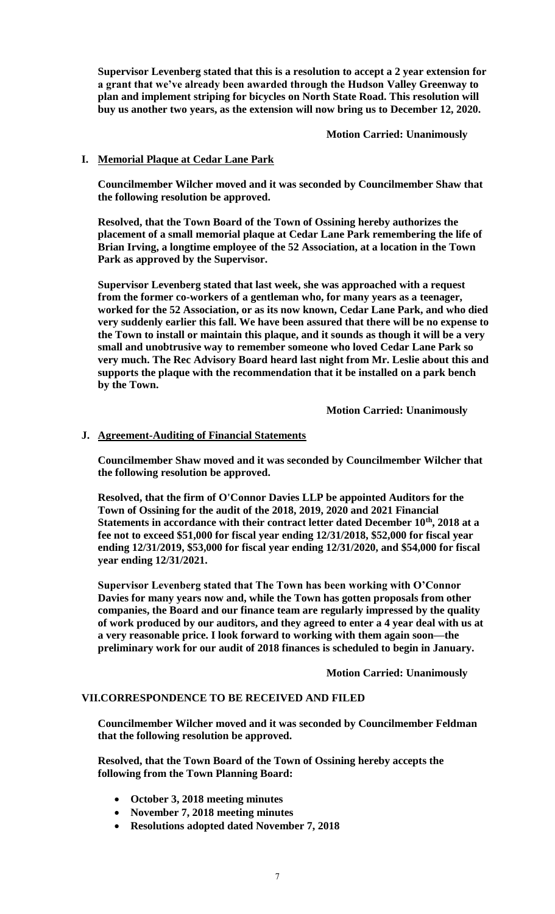**Supervisor Levenberg stated that this is a resolution to accept a 2 year extension for a grant that we've already been awarded through the Hudson Valley Greenway to plan and implement striping for bicycles on North State Road. This resolution will buy us another two years, as the extension will now bring us to December 12, 2020.**

**Motion Carried: Unanimously**

## **I. Memorial Plaque at Cedar Lane Park**

**Councilmember Wilcher moved and it was seconded by Councilmember Shaw that the following resolution be approved.**

**Resolved, that the Town Board of the Town of Ossining hereby authorizes the placement of a small memorial plaque at Cedar Lane Park remembering the life of Brian Irving, a longtime employee of the 52 Association, at a location in the Town Park as approved by the Supervisor.**

**Supervisor Levenberg stated that last week, she was approached with a request from the former co-workers of a gentleman who, for many years as a teenager, worked for the 52 Association, or as its now known, Cedar Lane Park, and who died very suddenly earlier this fall. We have been assured that there will be no expense to the Town to install or maintain this plaque, and it sounds as though it will be a very small and unobtrusive way to remember someone who loved Cedar Lane Park so very much. The Rec Advisory Board heard last night from Mr. Leslie about this and supports the plaque with the recommendation that it be installed on a park bench by the Town.** 

**Motion Carried: Unanimously**

# **J. Agreement-Auditing of Financial Statements**

**Councilmember Shaw moved and it was seconded by Councilmember Wilcher that the following resolution be approved.**

**Resolved, that the firm of O'Connor Davies LLP be appointed Auditors for the Town of Ossining for the audit of the 2018, 2019, 2020 and 2021 Financial Statements in accordance with their contract letter dated December 10th, 2018 at a fee not to exceed \$51,000 for fiscal year ending 12/31/2018, \$52,000 for fiscal year ending 12/31/2019, \$53,000 for fiscal year ending 12/31/2020, and \$54,000 for fiscal year ending 12/31/2021.**

**Supervisor Levenberg stated that The Town has been working with O'Connor Davies for many years now and, while the Town has gotten proposals from other companies, the Board and our finance team are regularly impressed by the quality of work produced by our auditors, and they agreed to enter a 4 year deal with us at a very reasonable price. I look forward to working with them again soon—the preliminary work for our audit of 2018 finances is scheduled to begin in January.**

**Motion Carried: Unanimously**

## **VII.CORRESPONDENCE TO BE RECEIVED AND FILED**

**Councilmember Wilcher moved and it was seconded by Councilmember Feldman that the following resolution be approved.**

**Resolved, that the Town Board of the Town of Ossining hereby accepts the following from the Town Planning Board:**

- **October 3, 2018 meeting minutes**
- **November 7, 2018 meeting minutes**
- **Resolutions adopted dated November 7, 2018**